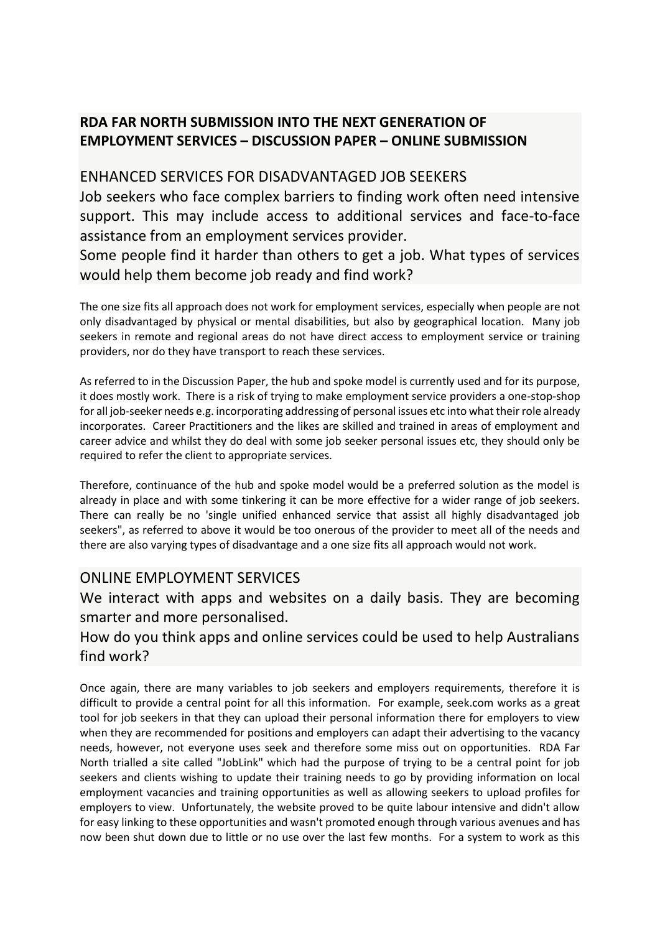# **RDA FAR NORTH SUBMISSION INTO THE NEXT GENERATION OF EMPLOYMENT SERVICES – DISCUSSION PAPER – ONLINE SUBMISSION**

#### ENHANCED SERVICES FOR DISADVANTAGED JOB SEEKERS

Job seekers who face complex barriers to finding work often need intensive support. This may include access to additional services and face-to-face assistance from an employment services provider.

Some people find it harder than others to get a job. What types of services would help them become job ready and find work?

The one size fits all approach does not work for employment services, especially when people are not only disadvantaged by physical or mental disabilities, but also by geographical location. Many job seekers in remote and regional areas do not have direct access to employment service or training providers, nor do they have transport to reach these services.

As referred to in the Discussion Paper, the hub and spoke model is currently used and for its purpose, it does mostly work. There is a risk of trying to make employment service providers a one-stop-shop for all job-seeker needs e.g. incorporating addressing of personal issues etc into what their role already incorporates. Career Practitioners and the likes are skilled and trained in areas of employment and career advice and whilst they do deal with some job seeker personal issues etc, they should only be required to refer the client to appropriate services.

Therefore, continuance of the hub and spoke model would be a preferred solution as the model is already in place and with some tinkering it can be more effective for a wider range of job seekers. There can really be no 'single unified enhanced service that assist all highly disadvantaged job seekers", as referred to above it would be too onerous of the provider to meet all of the needs and there are also varying types of disadvantage and a one size fits all approach would not work.

### ONLINE EMPLOYMENT SERVICES

We interact with apps and websites on a daily basis. They are becoming smarter and more personalised.

### How do you think apps and online services could be used to help Australians find work?

Once again, there are many variables to job seekers and employers requirements, therefore it is difficult to provide a central point for all this information. For example, seek.com works as a great tool for job seekers in that they can upload their personal information there for employers to view when they are recommended for positions and employers can adapt their advertising to the vacancy needs, however, not everyone uses seek and therefore some miss out on opportunities. RDA Far North trialled a site called "JobLink" which had the purpose of trying to be a central point for job seekers and clients wishing to update their training needs to go by providing information on local employment vacancies and training opportunities as well as allowing seekers to upload profiles for employers to view. Unfortunately, the website proved to be quite labour intensive and didn't allow for easy linking to these opportunities and wasn't promoted enough through various avenues and has now been shut down due to little or no use over the last few months. For a system to work as this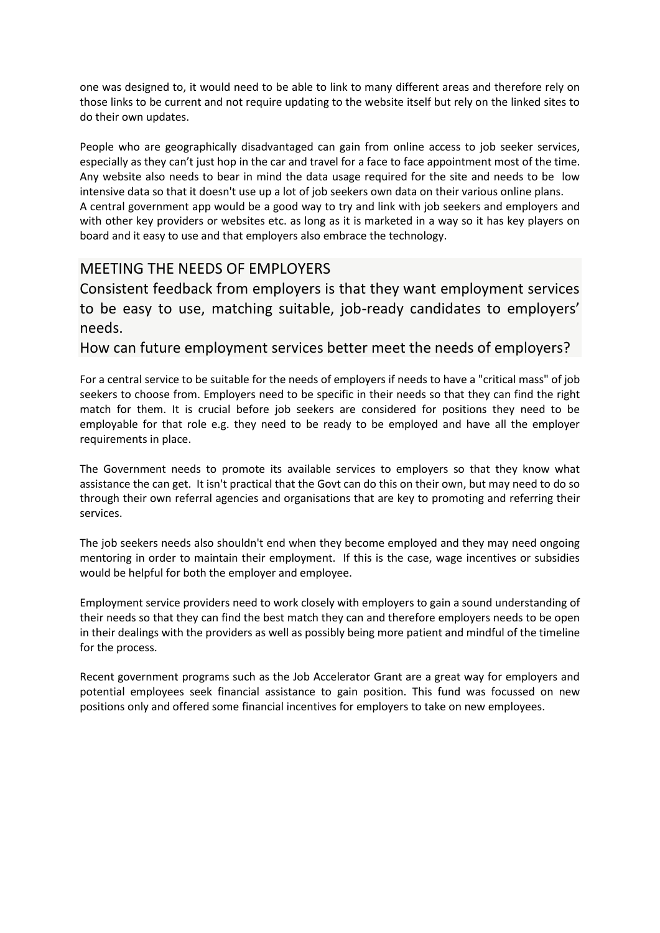one was designed to, it would need to be able to link to many different areas and therefore rely on those links to be current and not require updating to the website itself but rely on the linked sites to do their own updates.

People who are geographically disadvantaged can gain from online access to job seeker services, especially as they can't just hop in the car and travel for a face to face appointment most of the time. Any website also needs to bear in mind the data usage required for the site and needs to be low intensive data so that it doesn't use up a lot of job seekers own data on their various online plans. A central government app would be a good way to try and link with job seekers and employers and with other key providers or websites etc. as long as it is marketed in a way so it has key players on board and it easy to use and that employers also embrace the technology.

### MEETING THE NEEDS OF EMPLOYERS

Consistent feedback from employers is that they want employment services to be easy to use, matching suitable, job-ready candidates to employers' needs.

How can future employment services better meet the needs of employers?

For a central service to be suitable for the needs of employers if needs to have a "critical mass" of job seekers to choose from. Employers need to be specific in their needs so that they can find the right match for them. It is crucial before job seekers are considered for positions they need to be employable for that role e.g. they need to be ready to be employed and have all the employer requirements in place.

The Government needs to promote its available services to employers so that they know what assistance the can get. It isn't practical that the Govt can do this on their own, but may need to do so through their own referral agencies and organisations that are key to promoting and referring their services.

The job seekers needs also shouldn't end when they become employed and they may need ongoing mentoring in order to maintain their employment. If this is the case, wage incentives or subsidies would be helpful for both the employer and employee.

Employment service providers need to work closely with employers to gain a sound understanding of their needs so that they can find the best match they can and therefore employers needs to be open in their dealings with the providers as well as possibly being more patient and mindful of the timeline for the process.

Recent government programs such as the Job Accelerator Grant are a great way for employers and potential employees seek financial assistance to gain position. This fund was focussed on new positions only and offered some financial incentives for employers to take on new employees.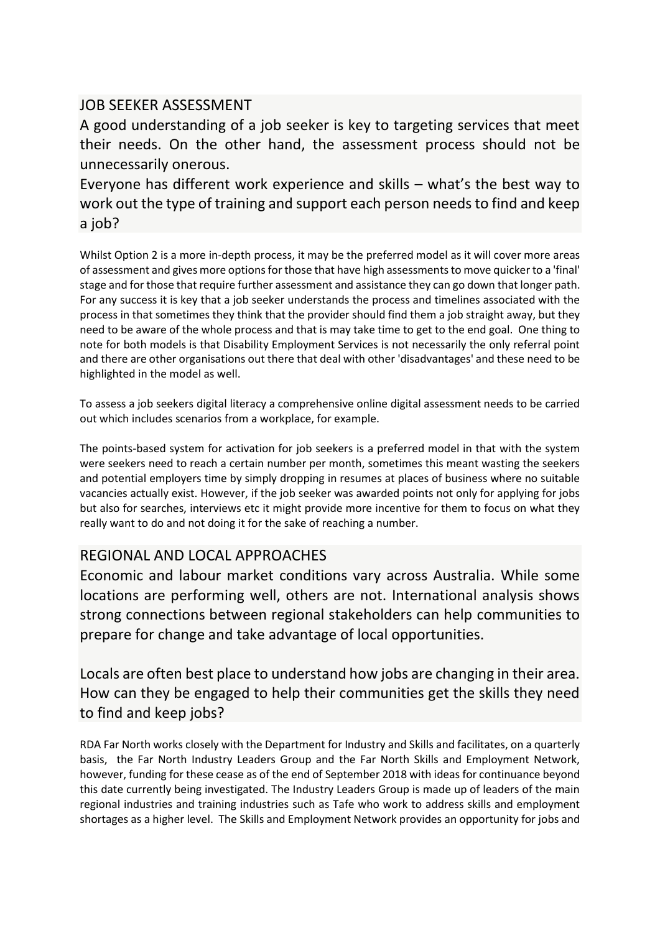### JOB SEEKER ASSESSMENT

A good understanding of a job seeker is key to targeting services that meet their needs. On the other hand, the assessment process should not be unnecessarily onerous.

Everyone has different work experience and skills – what's the best way to work out the type of training and support each person needs to find and keep a job?

Whilst Option 2 is a more in-depth process, it may be the preferred model as it will cover more areas of assessment and gives more options for those that have high assessments to move quicker to a 'final' stage and for those that require further assessment and assistance they can go down that longer path. For any success it is key that a job seeker understands the process and timelines associated with the process in that sometimes they think that the provider should find them a job straight away, but they need to be aware of the whole process and that is may take time to get to the end goal. One thing to note for both models is that Disability Employment Services is not necessarily the only referral point and there are other organisations out there that deal with other 'disadvantages' and these need to be highlighted in the model as well.

To assess a job seekers digital literacy a comprehensive online digital assessment needs to be carried out which includes scenarios from a workplace, for example.

The points-based system for activation for job seekers is a preferred model in that with the system were seekers need to reach a certain number per month, sometimes this meant wasting the seekers and potential employers time by simply dropping in resumes at places of business where no suitable vacancies actually exist. However, if the job seeker was awarded points not only for applying for jobs but also for searches, interviews etc it might provide more incentive for them to focus on what they really want to do and not doing it for the sake of reaching a number.

# REGIONAL AND LOCAL APPROACHES

Economic and labour market conditions vary across Australia. While some locations are performing well, others are not. International analysis shows strong connections between regional stakeholders can help communities to prepare for change and take advantage of local opportunities.

Locals are often best place to understand how jobs are changing in their area. How can they be engaged to help their communities get the skills they need to find and keep jobs?

RDA Far North works closely with the Department for Industry and Skills and facilitates, on a quarterly basis, the Far North Industry Leaders Group and the Far North Skills and Employment Network, however, funding for these cease as of the end of September 2018 with ideas for continuance beyond this date currently being investigated. The Industry Leaders Group is made up of leaders of the main regional industries and training industries such as Tafe who work to address skills and employment shortages as a higher level. The Skills and Employment Network provides an opportunity for jobs and